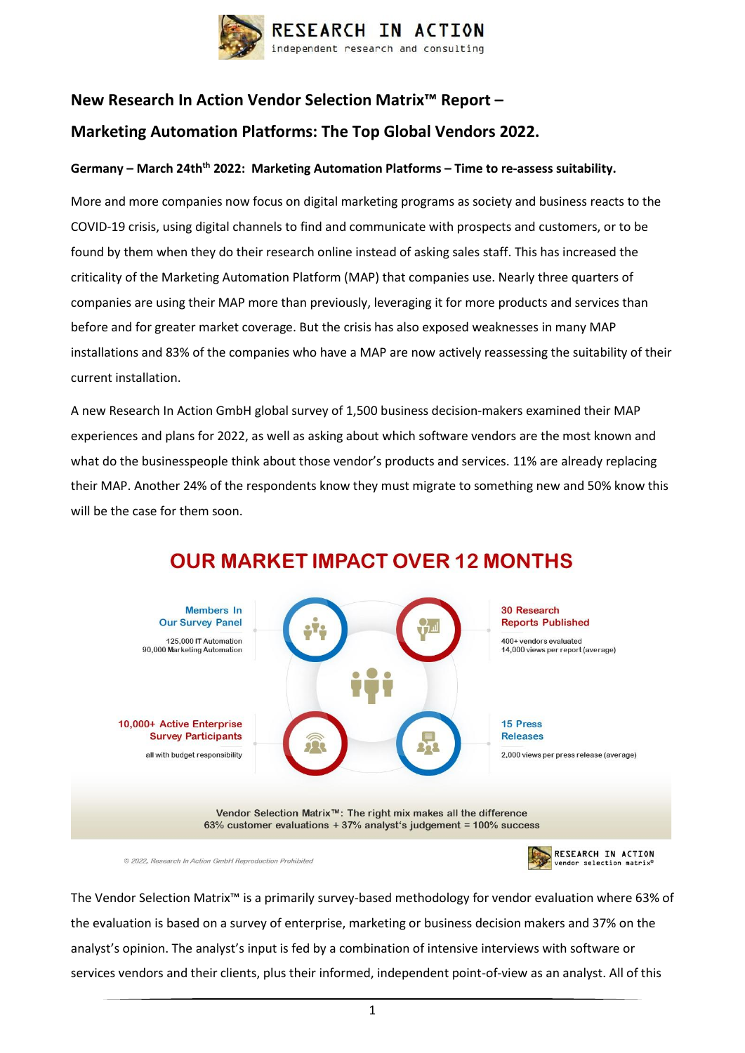

### **New Research In Action Vendor Selection Matrix™ Report – Marketing Automation Platforms: The Top Global Vendors 2022.**

# **Germany – March 24thth 2022: Marketing Automation Platforms – Time to re-assess suitability.**

More and more companies now focus on digital marketing programs as society and business reacts to the COVID-19 crisis, using digital channels to find and communicate with prospects and customers, or to be found by them when they do their research online instead of asking sales staff. This has increased the criticality of the Marketing Automation Platform (MAP) that companies use. Nearly three quarters of companies are using their MAP more than previously, leveraging it for more products and services than before and for greater market coverage. But the crisis has also exposed weaknesses in many MAP installations and 83% of the companies who have a MAP are now actively reassessing the suitability of their current installation.

A new Research In Action GmbH global survey of 1,500 business decision-makers examined their MAP experiences and plans for 2022, as well as asking about which software vendors are the most known and what do the businesspeople think about those vendor's products and services. 11% are already replacing their MAP. Another 24% of the respondents know they must migrate to something new and 50% know this will be the case for them soon.



## **OUR MARKET IMPACT OVER 12 MONTHS**

© 2022. Research In Action GmbH Reproduction Prohibited

RESEARCH IN ACTION

The Vendor Selection Matrix™ is a primarily survey-based methodology for vendor evaluation where 63% of the evaluation is based on a survey of enterprise, marketing or business decision makers and 37% on the analyst's opinion. The analyst's input is fed by a combination of intensive interviews with software or services vendors and their clients, plus their informed, independent point-of-view as an analyst. All of this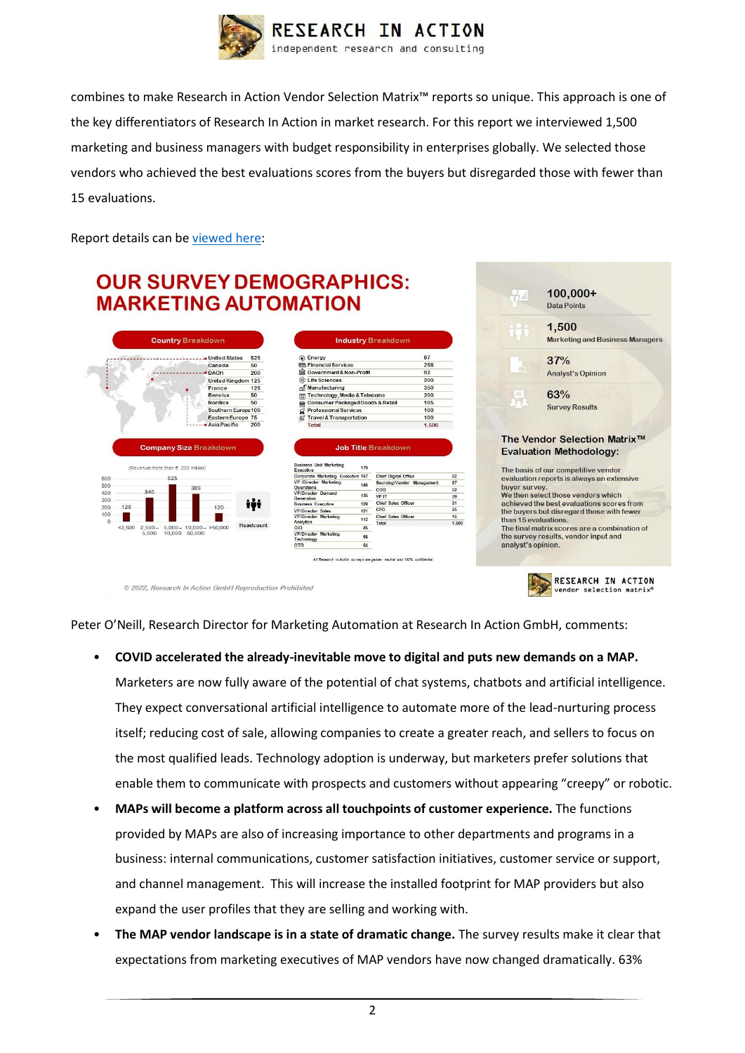

combines to make Research in Action Vendor Selection Matrix™ reports so unique. This approach is one of the key differentiators of Research In Action in market research. For this report we interviewed 1,500 marketing and business managers with budget responsibility in enterprises globally. We selected those vendors who achieved the best evaluations scores from the buyers but disregarded those with fewer than 15 evaluations.

Report details can b[e viewed](http://researchinaction.de/wp-content/uploads/VSM-MAP-2022-WWW.pdf) here:

## **OUR SURVEY DEMOGRAPHICS: MARKETING AUTOMATION**



| <b>Industry Breakdown</b>                        |       |
|--------------------------------------------------|-------|
| Energy                                           | 97    |
| <b>Con</b> Financial Services                    | 256   |
| La Government& Non-Profit                        | 92    |
| to Life Sciences                                 | 200   |
| Wanufacturing                                    | 350   |
| <b>Technology, Media &amp; Telecoms</b><br>नि    | 200   |
| <b>Consumer Packaged Goods &amp; Retail</b><br>囫 | 105   |
| <b>Professional Services</b><br>₫                | 100   |
| <b>Travel &amp; Transportation</b><br>劅          | 100   |
| Total                                            | 1,500 |





endor selection matr:

© 2022. Research In Action GmbH Reproduction Prohibited

Peter O'Neill, Research Director for Marketing Automation at Research In Action GmbH, comments:

- **COVID accelerated the already-inevitable move to digital and puts new demands on a MAP.** Marketers are now fully aware of the potential of chat systems, chatbots and artificial intelligence. They expect conversational artificial intelligence to automate more of the lead-nurturing process itself; reducing cost of sale, allowing companies to create a greater reach, and sellers to focus on the most qualified leads. Technology adoption is underway, but marketers prefer solutions that enable them to communicate with prospects and customers without appearing "creepy" or robotic.
- **MAPs will become a platform across all touchpoints of customer experience.** The functions provided by MAPs are also of increasing importance to other departments and programs in a business: internal communications, customer satisfaction initiatives, customer service or support, and channel management. This will increase the installed footprint for MAP providers but also expand the user profiles that they are selling and working with.
- **The MAP vendor landscape is in a state of dramatic change.** The survey results make it clear that expectations from marketing executives of MAP vendors have now changed dramatically. 63%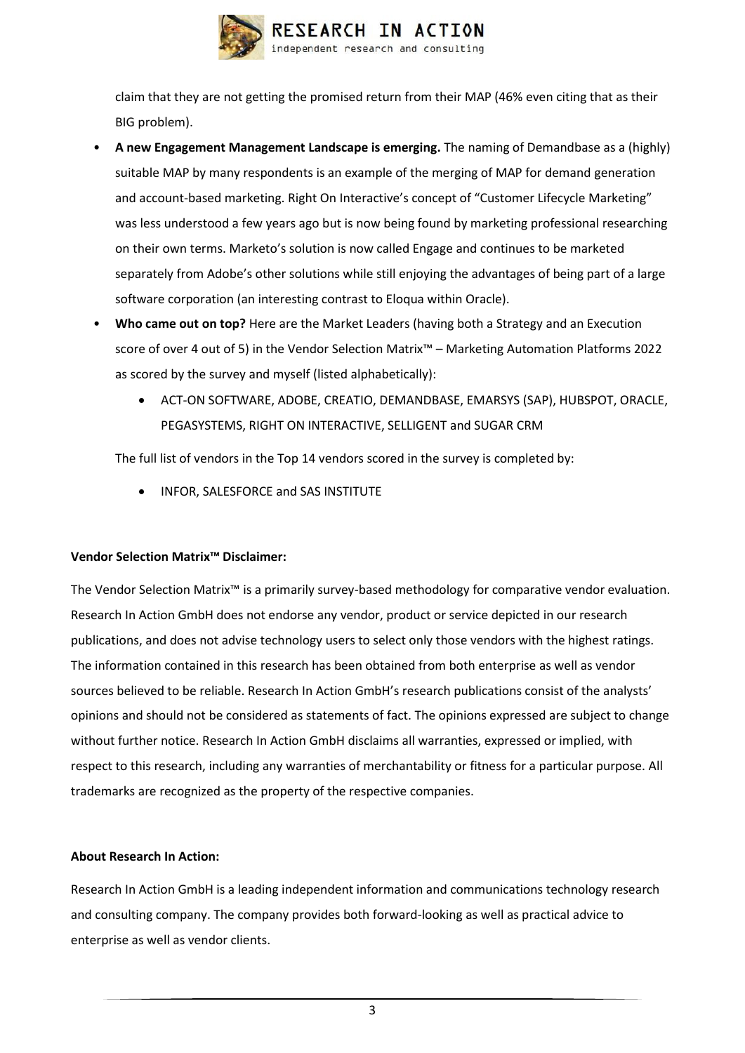

claim that they are not getting the promised return from their MAP (46% even citing that as their BIG problem).

- **A new Engagement Management Landscape is emerging.** The naming of Demandbase as a (highly) suitable MAP by many respondents is an example of the merging of MAP for demand generation and account-based marketing. Right On Interactive's concept of "Customer Lifecycle Marketing" was less understood a few years ago but is now being found by marketing professional researching on their own terms. Marketo's solution is now called Engage and continues to be marketed separately from Adobe's other solutions while still enjoying the advantages of being part of a large software corporation (an interesting contrast to Eloqua within Oracle).
- **Who came out on top?** Here are the Market Leaders (having both a Strategy and an Execution score of over 4 out of 5) in the Vendor Selection Matrix™ – Marketing Automation Platforms 2022 as scored by the survey and myself (listed alphabetically):
	- ACT-ON SOFTWARE, ADOBE, CREATIO, DEMANDBASE, EMARSYS (SAP), HUBSPOT, ORACLE, PEGASYSTEMS, RIGHT ON INTERACTIVE, SELLIGENT and SUGAR CRM

The full list of vendors in the Top 14 vendors scored in the survey is completed by:

• INFOR, SALESFORCE and SAS INSTITUTE

### **Vendor Selection Matrix™ Disclaimer:**

The Vendor Selection Matrix™ is a primarily survey-based methodology for comparative vendor evaluation. Research In Action GmbH does not endorse any vendor, product or service depicted in our research publications, and does not advise technology users to select only those vendors with the highest ratings. The information contained in this research has been obtained from both enterprise as well as vendor sources believed to be reliable. Research In Action GmbH's research publications consist of the analysts' opinions and should not be considered as statements of fact. The opinions expressed are subject to change without further notice. Research In Action GmbH disclaims all warranties, expressed or implied, with respect to this research, including any warranties of merchantability or fitness for a particular purpose. All trademarks are recognized as the property of the respective companies.

### **About Research In Action:**

Research In Action GmbH is a leading independent information and communications technology research and consulting company. The company provides both forward-looking as well as practical advice to enterprise as well as vendor clients.